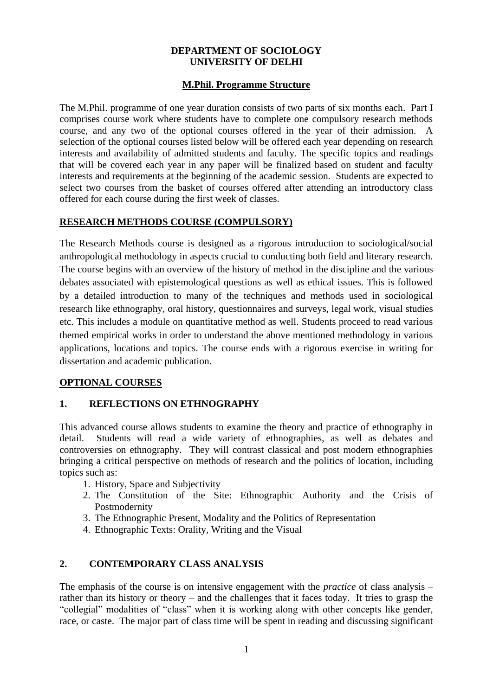#### **DEPARTMENT OF SOCIOLOGY UNIVERSITY OF DELHI**

### **M.Phil. Programme Structure**

The M.Phil. programme of one year duration consists of two parts of six months each. Part I comprises course work where students have to complete one compulsory research methods course, and any two of the optional courses offered in the year of their admission. A selection of the optional courses listed below will be offered each year depending on research interests and availability of admitted students and faculty. The specific topics and readings that will be covered each year in any paper will be finalized based on student and faculty interests and requirements at the beginning of the academic session. Students are expected to select two courses from the basket of courses offered after attending an introductory class offered for each course during the first week of classes.

### **RESEARCH METHODS COURSE (COMPULSORY)**

The Research Methods course is designed as a rigorous introduction to sociological/social anthropological methodology in aspects crucial to conducting both field and literary research. The course begins with an overview of the history of method in the discipline and the various debates associated with epistemological questions as well as ethical issues. This is followed by a detailed introduction to many of the techniques and methods used in sociological research like ethnography, oral history, questionnaires and surveys, legal work, visual studies etc. This includes a module on quantitative method as well. Students proceed to read various themed empirical works in order to understand the above mentioned methodology in various applications, locations and topics. The course ends with a rigorous exercise in writing for dissertation and academic publication.

## **OPTIONAL COURSES**

#### **1. REFLECTIONS ON ETHNOGRAPHY**

This advanced course allows students to examine the theory and practice of ethnography in detail. Students will read a wide variety of ethnographies, as well as debates and controversies on ethnography. They will contrast classical and post modern ethnographies bringing a critical perspective on methods of research and the politics of location, including topics such as:

- 1. History, Space and Subjectivity
- 2. The Constitution of the Site: Ethnographic Authority and the Crisis of Postmodernity
- 3. The Ethnographic Present, Modality and the Politics of Representation
- 4. Ethnographic Texts: Orality, Writing and the Visual

## **2. CONTEMPORARY CLASS ANALYSIS**

The emphasis of the course is on intensive engagement with the *practice* of class analysis – rather than its history or theory – and the challenges that it faces today. It tries to grasp the "collegial" modalities of "class" when it is working along with other concepts like gender, race, or caste. The major part of class time will be spent in reading and discussing significant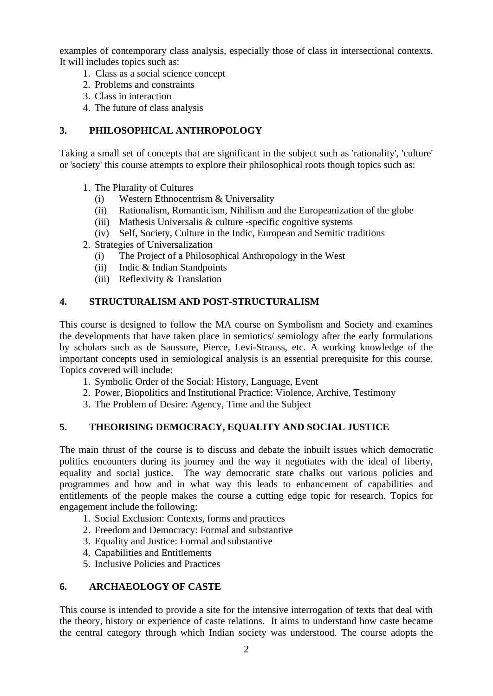examples of contemporary class analysis, especially those of class in intersectional contexts. It will includes topics such as:

- 1. Class as a social science concept
- 2. Problems and constraints
- 3. Class in interaction
- 4. The future of class analysis

## **3. PHILOSOPHICAL ANTHROPOLOGY**

Taking a small set of concepts that are significant in the subject such as 'rationality', 'culture' or 'society' this course attempts to explore their philosophical roots though topics such as:

- 1. The Plurality of Cultures
	- (i) Western Ethnocentrism & Universality
	- (ii) Rationalism, Romanticism, Nihilism and the Europeanization of the globe
	- (iii) Mathesis Universalis & culture -specific cognitive systems
	- (iv) Self, Society, Culture in the Indic, European and Semitic traditions
- 2. Strategies of Universalization
	- (i) The Project of a Philosophical Anthropology in the West
	- (ii) Indic & Indian Standpoints
	- (iii) Reflexivity & Translation

### **4. STRUCTURALISM AND POST-STRUCTURALISM**

This course is designed to follow the MA course on Symbolism and Society and examines the developments that have taken place in semiotics/ semiology after the early formulations by scholars such as de Saussure, Pierce, Levi-Strauss, etc. A working knowledge of the important concepts used in semiological analysis is an essential prerequisite for this course. Topics covered will include:

- 1. Symbolic Order of the Social: History, Language, Event
- 2. Power, Biopolitics and Institutional Practice: Violence, Archive, Testimony
- 3. The Problem of Desire: Agency, Time and the Subject

#### **5. THEORISING DEMOCRACY, EQUALITY AND SOCIAL JUSTICE**

The main thrust of the course is to discuss and debate the inbuilt issues which democratic politics encounters during its journey and the way it negotiates with the ideal of liberty, equality and social justice. The way democratic state chalks out various policies and programmes and how and in what way this leads to enhancement of capabilities and entitlements of the people makes the course a cutting edge topic for research. Topics for engagement include the following:

- 1. Social Exclusion: Contexts, forms and practices
- 2. Freedom and Democracy: Formal and substantive
- 3. Equality and Justice: Formal and substantive
- 4. Capabilities and Entitlements
- 5. Inclusive Policies and Practices

#### **6. ARCHAEOLOGY OF CASTE**

This course is intended to provide a site for the intensive interrogation of texts that deal with the theory, history or experience of caste relations. It aims to understand how caste became the central category through which Indian society was understood. The course adopts the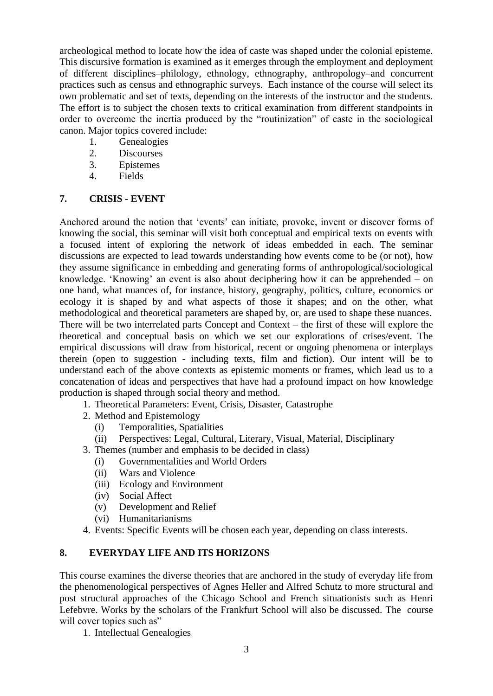archeological method to locate how the idea of caste was shaped under the colonial episteme. This discursive formation is examined as it emerges through the employment and deployment of different disciplines–philology, ethnology, ethnography, anthropology–and concurrent practices such as census and ethnographic surveys. Each instance of the course will select its own problematic and set of texts, depending on the interests of the instructor and the students. The effort is to subject the chosen texts to critical examination from different standpoints in order to overcome the inertia produced by the "routinization" of caste in the sociological canon. Major topics covered include:

- 1. Genealogies
- 2. Discourses
- 3. Epistemes
- 4. Fields

# **7. CRISIS - EVENT**

Anchored around the notion that 'events' can initiate, provoke, invent or discover forms of knowing the social, this seminar will visit both conceptual and empirical texts on events with a focused intent of exploring the network of ideas embedded in each. The seminar discussions are expected to lead towards understanding how events come to be (or not), how they assume significance in embedding and generating forms of anthropological/sociological knowledge. 'Knowing' an event is also about deciphering how it can be apprehended – on one hand, what nuances of, for instance, history, geography, politics, culture, economics or ecology it is shaped by and what aspects of those it shapes; and on the other, what methodological and theoretical parameters are shaped by, or, are used to shape these nuances. There will be two interrelated parts Concept and Context – the first of these will explore the theoretical and conceptual basis on which we set our explorations of crises/event. The empirical discussions will draw from historical, recent or ongoing phenomena or interplays therein (open to suggestion - including texts, film and fiction). Our intent will be to understand each of the above contexts as epistemic moments or frames, which lead us to a concatenation of ideas and perspectives that have had a profound impact on how knowledge production is shaped through social theory and method.

- 1. Theoretical Parameters: Event, Crisis, Disaster, Catastrophe
- 2. Method and Epistemology
	- (i) Temporalities, Spatialities
	- (ii) Perspectives: Legal, Cultural, Literary, Visual, Material, Disciplinary
- 3. Themes (number and emphasis to be decided in class)
	- (i) Governmentalities and World Orders
	- (ii) Wars and Violence
	- (iii) Ecology and Environment
	- (iv) Social Affect
	- (v) Development and Relief
	- (vi) Humanitarianisms
- 4. Events: Specific Events will be chosen each year, depending on class interests.

# **8. EVERYDAY LIFE AND ITS HORIZONS**

This course examines the diverse theories that are anchored in the study of everyday life from the phenomenological perspectives of Agnes Heller and Alfred Schutz to more structural and post structural approaches of the Chicago School and French situationists such as Henri Lefebvre. Works by the scholars of the Frankfurt School will also be discussed. The course will cover topics such as"

1. Intellectual Genealogies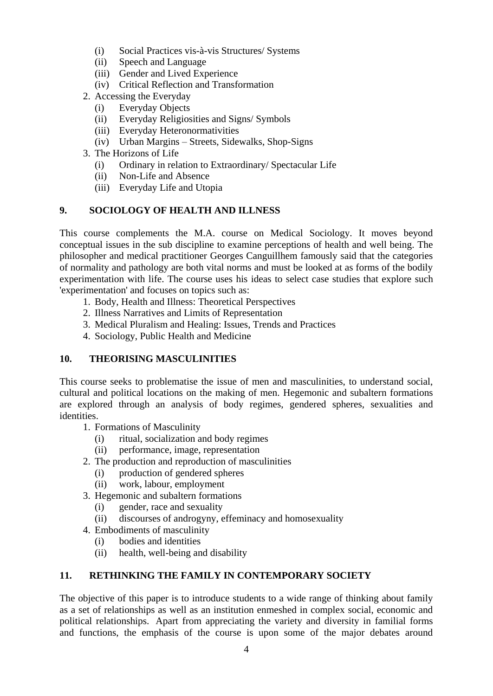- (i) Social Practices vis-à-vis Structures/ Systems
- (ii) Speech and Language
- (iii) Gender and Lived Experience
- (iv) Critical Reflection and Transformation
- 2. Accessing the Everyday
	- (i) Everyday Objects
	- (ii) Everyday Religiosities and Signs/ Symbols
	- (iii) Everyday Heteronormativities
	- (iv) Urban Margins Streets, Sidewalks, Shop-Signs
- 3. The Horizons of Life
	- (i) Ordinary in relation to Extraordinary/ Spectacular Life
	- (ii) Non-Life and Absence
	- (iii) Everyday Life and Utopia

### **9. SOCIOLOGY OF HEALTH AND ILLNESS**

This course complements the M.A. course on Medical Sociology. It moves beyond conceptual issues in the sub discipline to examine perceptions of health and well being. The philosopher and medical practitioner Georges Canguillhem famously said that the categories of normality and pathology are both vital norms and must be looked at as forms of the bodily experimentation with life. The course uses his ideas to select case studies that explore such 'experimentation' and focuses on topics such as:

- 1. Body, Health and Illness: Theoretical Perspectives
- 2. Illness Narratives and Limits of Representation
- 3. Medical Pluralism and Healing: Issues, Trends and Practices
- 4. Sociology, Public Health and Medicine

## **10. THEORISING MASCULINITIES**

This course seeks to problematise the issue of men and masculinities, to understand social, cultural and political locations on the making of men. Hegemonic and subaltern formations are explored through an analysis of body regimes, gendered spheres, sexualities and identities.

- 1. Formations of Masculinity
	- (i) ritual, socialization and body regimes
	- (ii) performance, image, representation
- 2. The production and reproduction of masculinities
	- (i) production of gendered spheres
	- (ii) work, labour, employment
- 3. Hegemonic and subaltern formations
	- (i) gender, race and sexuality
	- (ii) discourses of androgyny, effeminacy and homosexuality
- 4. Embodiments of masculinity
	- (i) bodies and identities
	- (ii) health, well-being and disability

## **11. RETHINKING THE FAMILY IN CONTEMPORARY SOCIETY**

The objective of this paper is to introduce students to a wide range of thinking about family as a set of relationships as well as an institution enmeshed in complex social, economic and political relationships. Apart from appreciating the variety and diversity in familial forms and functions, the emphasis of the course is upon some of the major debates around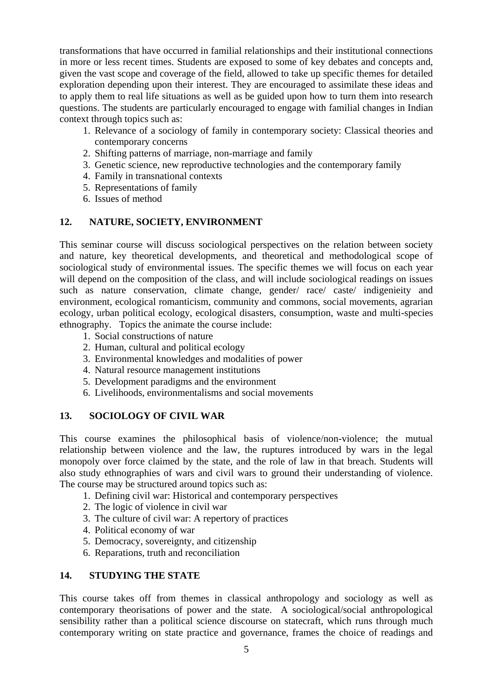transformations that have occurred in familial relationships and their institutional connections in more or less recent times. Students are exposed to some of key debates and concepts and, given the vast scope and coverage of the field, allowed to take up specific themes for detailed exploration depending upon their interest. They are encouraged to assimilate these ideas and to apply them to real life situations as well as be guided upon how to turn them into research questions. The students are particularly encouraged to engage with familial changes in Indian context through topics such as:

- 1. Relevance of a sociology of family in contemporary society: Classical theories and contemporary concerns
- 2. Shifting patterns of marriage, non-marriage and family
- 3. Genetic science, new reproductive technologies and the contemporary family
- 4. Family in transnational contexts
- 5. Representations of family
- 6. Issues of method

### **12. NATURE, SOCIETY, ENVIRONMENT**

This seminar course will discuss sociological perspectives on the relation between society and nature, key theoretical developments, and theoretical and methodological scope of sociological study of environmental issues. The specific themes we will focus on each year will depend on the composition of the class, and will include sociological readings on issues such as nature conservation, climate change, gender/ race/ caste/ indigenieity and environment, ecological romanticism, community and commons, social movements, agrarian ecology, urban political ecology, ecological disasters, consumption, waste and multi-species ethnography. Topics the animate the course include:

- 1. Social constructions of nature
- 2. Human, cultural and political ecology
- 3. Environmental knowledges and modalities of power
- 4. Natural resource management institutions
- 5. Development paradigms and the environment
- 6. Livelihoods, environmentalisms and social movements

## **13. SOCIOLOGY OF CIVIL WAR**

This course examines the philosophical basis of violence/non-violence; the mutual relationship between violence and the law, the ruptures introduced by wars in the legal monopoly over force claimed by the state, and the role of law in that breach. Students will also study ethnographies of wars and civil wars to ground their understanding of violence. The course may be structured around topics such as:

- 1. Defining civil war: Historical and contemporary perspectives
- 2. The logic of violence in civil war
- 3. The culture of civil war: A repertory of practices
- 4. Political economy of war
- 5. Democracy, sovereignty, and citizenship
- 6. Reparations, truth and reconciliation

## **14. STUDYING THE STATE**

This course takes off from themes in classical anthropology and sociology as well as contemporary theorisations of power and the state. A sociological/social anthropological sensibility rather than a political science discourse on statecraft, which runs through much contemporary writing on state practice and governance, frames the choice of readings and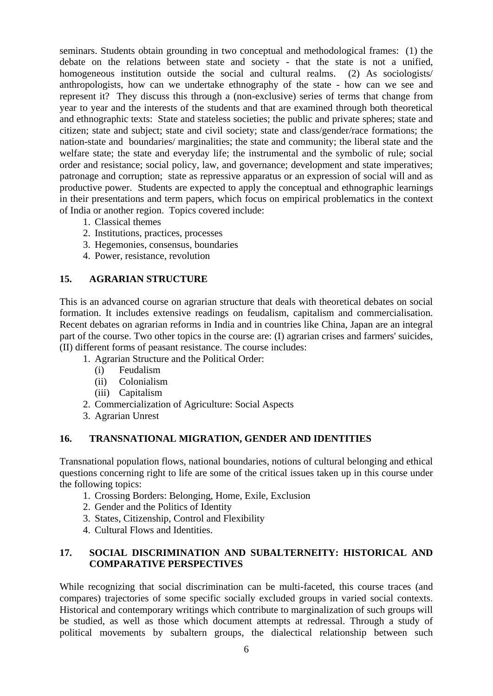seminars. Students obtain grounding in two conceptual and methodological frames: (1) the debate on the relations between state and society - that the state is not a unified, homogeneous institution outside the social and cultural realms. (2) As sociologists/ anthropologists, how can we undertake ethnography of the state - how can we see and represent it? They discuss this through a (non-exclusive) series of terms that change from year to year and the interests of the students and that are examined through both theoretical and ethnographic texts: State and stateless societies; the public and private spheres; state and citizen; state and subject; state and civil society; state and class/gender/race formations; the nation-state and boundaries/ marginalities; the state and community; the liberal state and the welfare state; the state and everyday life; the instrumental and the symbolic of rule; social order and resistance; social policy, law, and governance; development and state imperatives; patronage and corruption; state as repressive apparatus or an expression of social will and as productive power. Students are expected to apply the conceptual and ethnographic learnings in their presentations and term papers, which focus on empirical problematics in the context of India or another region. Topics covered include:

- 1. Classical themes
- 2. Institutions, practices, processes
- 3. Hegemonies, consensus, boundaries
- 4. Power, resistance, revolution

### **15. AGRARIAN STRUCTURE**

This is an advanced course on agrarian structure that deals with theoretical debates on social formation. It includes extensive readings on feudalism, capitalism and commercialisation. Recent debates on agrarian reforms in India and in countries like China, Japan are an integral part of the course. Two other topics in the course are: (I) agrarian crises and farmers' suicides, (II) different forms of peasant resistance. The course includes:

- 1. Agrarian Structure and the Political Order:
	- (i) Feudalism
	- (ii) Colonialism
	- (iii) Capitalism
- 2. Commercialization of Agriculture: Social Aspects
- 3. Agrarian Unrest

## **16. TRANSNATIONAL MIGRATION, GENDER AND IDENTITIES**

Transnational population flows, national boundaries, notions of cultural belonging and ethical questions concerning right to life are some of the critical issues taken up in this course under the following topics:

- 1. Crossing Borders: Belonging, Home, Exile, Exclusion
- 2. Gender and the Politics of Identity
- 3. States, Citizenship, Control and Flexibility
- 4. Cultural Flows and Identities.

### **17. SOCIAL DISCRIMINATION AND SUBALTERNEITY: HISTORICAL AND COMPARATIVE PERSPECTIVES**

While recognizing that social discrimination can be multi-faceted, this course traces (and compares) trajectories of some specific socially excluded groups in varied social contexts. Historical and contemporary writings which contribute to marginalization of such groups will be studied, as well as those which document attempts at redressal. Through a study of political movements by subaltern groups, the dialectical relationship between such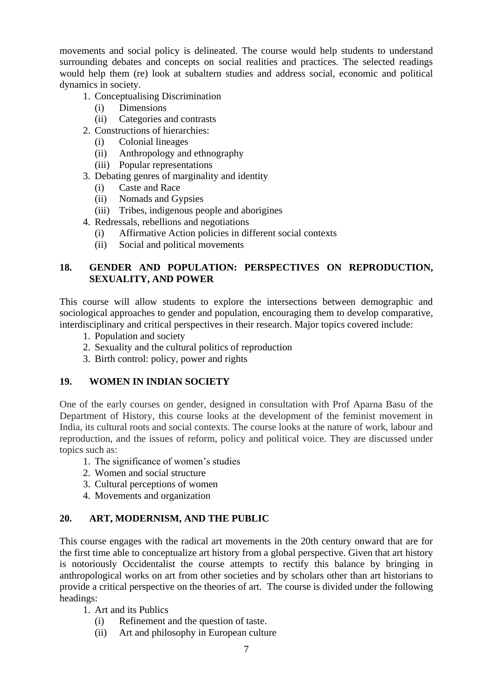movements and social policy is delineated. The course would help students to understand surrounding debates and concepts on social realities and practices. The selected readings would help them (re) look at subaltern studies and address social, economic and political dynamics in society.

- 1. Conceptualising Discrimination
	- (i) Dimensions
	- (ii) Categories and contrasts
- 2. Constructions of hierarchies:
	- (i) Colonial lineages
	- (ii) Anthropology and ethnography
	- (iii) Popular representations
- 3. Debating genres of marginality and identity
	- (i) Caste and Race
	- (ii) Nomads and Gypsies
	- (iii) Tribes, indigenous people and aborigines
- 4. Redressals, rebellions and negotiations
	- (i) Affirmative Action policies in different social contexts
	- (ii) Social and political movements

# **18. GENDER AND POPULATION: PERSPECTIVES ON REPRODUCTION, SEXUALITY, AND POWER**

This course will allow students to explore the intersections between demographic and sociological approaches to gender and population, encouraging them to develop comparative, interdisciplinary and critical perspectives in their research. Major topics covered include:

- 1. Population and society
- 2. Sexuality and the cultural politics of reproduction
- 3. Birth control: policy, power and rights

## **19. WOMEN IN INDIAN SOCIETY**

One of the early courses on gender, designed in consultation with Prof Aparna Basu of the Department of History, this course looks at the development of the feminist movement in India, its cultural roots and social contexts. The course looks at the nature of work, labour and reproduction, and the issues of reform, policy and political voice. They are discussed under topics such as:

- 1. The significance of women's studies
- 2. Women and social structure
- 3. Cultural perceptions of women
- 4. Movements and organization

## **20. ART, MODERNISM, AND THE PUBLIC**

This course engages with the radical art movements in the 20th century onward that are for the first time able to conceptualize art history from a global perspective. Given that art history is notoriously Occidentalist the course attempts to rectify this balance by bringing in anthropological works on art from other societies and by scholars other than art historians to provide a critical perspective on the theories of art. The course is divided under the following headings:

- 1. Art and its Publics
	- (i) Refinement and the question of taste.
	- (ii) Art and philosophy in European culture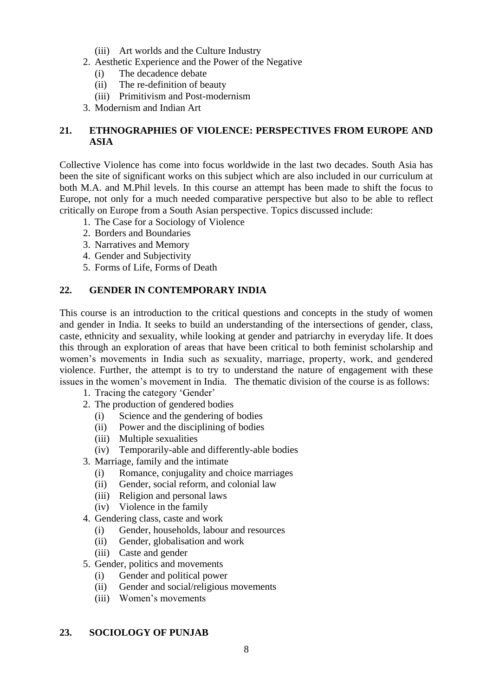- (iii) Art worlds and the Culture Industry
- 2. Aesthetic Experience and the Power of the Negative
	- (i) The decadence debate
	- (ii) The re-definition of beauty
	- (iii) Primitivism and Post-modernism
- 3. Modernism and Indian Art

# **21. ETHNOGRAPHIES OF VIOLENCE: PERSPECTIVES FROM EUROPE AND ASIA**

Collective Violence has come into focus worldwide in the last two decades. South Asia has been the site of significant works on this subject which are also included in our curriculum at both M.A. and M.Phil levels. In this course an attempt has been made to shift the focus to Europe, not only for a much needed comparative perspective but also to be able to reflect critically on Europe from a South Asian perspective. Topics discussed include:

- 1. The Case for a Sociology of Violence
- 2. Borders and Boundaries
- 3. Narratives and Memory
- 4. Gender and Subjectivity
- 5. Forms of Life, Forms of Death

## **22. GENDER IN CONTEMPORARY INDIA**

This course is an introduction to the critical questions and concepts in the study of women and gender in India. It seeks to build an understanding of the intersections of gender, class, caste, ethnicity and sexuality, while looking at gender and patriarchy in everyday life. It does this through an exploration of areas that have been critical to both feminist scholarship and women's movements in India such as sexuality, marriage, property, work, and gendered violence. Further, the attempt is to try to understand the nature of engagement with these issues in the women's movement in India. The thematic division of the course is as follows:

- 1. Tracing the category 'Gender'
- 2. The production of gendered bodies
	- (i) Science and the gendering of bodies
	- (ii) Power and the disciplining of bodies
	- (iii) Multiple sexualities
	- (iv) Temporarily-able and differently-able bodies
- 3. Marriage, family and the intimate
	- (i) Romance, conjugality and choice marriages
	- (ii) Gender, social reform, and colonial law
	- (iii) Religion and personal laws
	- (iv) Violence in the family
- 4. Gendering class, caste and work
	- (i) Gender, households, labour and resources
	- (ii) Gender, globalisation and work
	- (iii) Caste and gender
- 5. Gender, politics and movements
	- (i) Gender and political power
	- (ii) Gender and social/religious movements
	- (iii) Women's movements

## **23. SOCIOLOGY OF PUNJAB**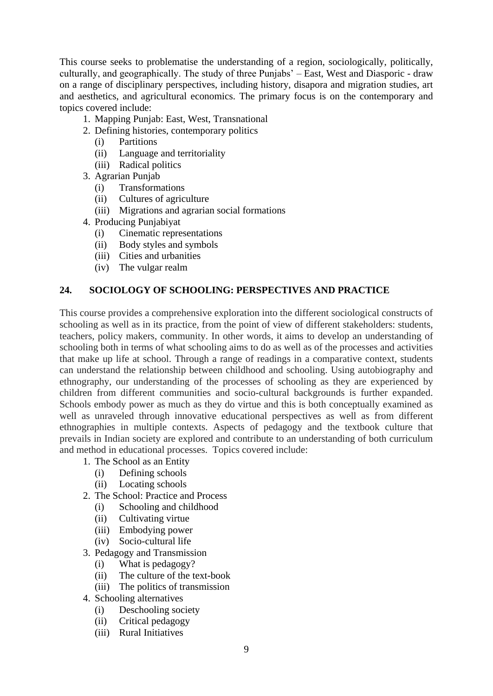This course seeks to problematise the understanding of a region, sociologically, politically, culturally, and geographically. The study of three Punjabs' – East, West and Diasporic - draw on a range of disciplinary perspectives, including history, disapora and migration studies, art and aesthetics, and agricultural economics. The primary focus is on the contemporary and topics covered include:

- 1. Mapping Punjab: East, West, Transnational
- 2. Defining histories, contemporary politics
	- (i) Partitions
	- (ii) Language and territoriality
	- (iii) Radical politics
- 3. Agrarian Punjab
	- (i) Transformations
	- (ii) Cultures of agriculture
	- (iii) Migrations and agrarian social formations
- 4. Producing Punjabiyat
	- (i) Cinematic representations
	- (ii) Body styles and symbols
	- (iii) Cities and urbanities
	- (iv) The vulgar realm

### **24. SOCIOLOGY OF SCHOOLING: PERSPECTIVES AND PRACTICE**

This course provides a comprehensive exploration into the different sociological constructs of schooling as well as in its practice, from the point of view of different stakeholders: students, teachers, policy makers, community. In other words, it aims to develop an understanding of schooling both in terms of what schooling aims to do as well as of the processes and activities that make up life at school. Through a range of readings in a comparative context, students can understand the relationship between childhood and schooling. Using autobiography and ethnography, our understanding of the processes of schooling as they are experienced by children from different communities and socio-cultural backgrounds is further expanded. Schools embody power as much as they do virtue and this is both conceptually examined as well as unraveled through innovative educational perspectives as well as from different ethnographies in multiple contexts. Aspects of pedagogy and the textbook culture that prevails in Indian society are explored and contribute to an understanding of both curriculum and method in educational processes. Topics covered include:

- 1. The School as an Entity
	- (i) Defining schools
	- (ii) Locating schools
- 2. The School: Practice and Process
	- (i) Schooling and childhood
	- (ii) Cultivating virtue
	- (iii) Embodying power
	- (iv) Socio-cultural life
- 3. Pedagogy and Transmission
	- (i) What is pedagogy?
	- (ii) The culture of the text-book
	- (iii) The politics of transmission
- 4. Schooling alternatives
	- (i) Deschooling society
	- (ii) Critical pedagogy
	- (iii) Rural Initiatives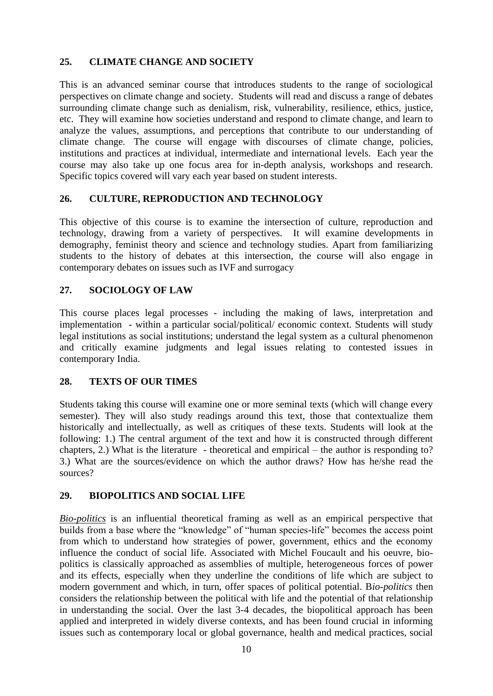# **25. CLIMATE CHANGE AND SOCIETY**

This is an advanced seminar course that introduces students to the range of sociological perspectives on climate change and society. Students will read and discuss a range of debates surrounding climate change such as denialism, risk, vulnerability, resilience, ethics, justice, etc. They will examine how societies understand and respond to climate change, and learn to analyze the values, assumptions, and perceptions that contribute to our understanding of climate change. The course will engage with discourses of climate change, policies, institutions and practices at individual, intermediate and international levels. Each year the course may also take up one focus area for in-depth analysis, workshops and research. Specific topics covered will vary each year based on student interests.

# **26. CULTURE, REPRODUCTION AND TECHNOLOGY**

This objective of this course is to examine the intersection of culture, reproduction and technology, drawing from a variety of perspectives. It will examine developments in demography, feminist theory and science and technology studies. Apart from familiarizing students to the history of debates at this intersection, the course will also engage in contemporary debates on issues such as IVF and surrogacy

## **27. SOCIOLOGY OF LAW**

This course places legal processes - including the making of laws, interpretation and implementation - within a particular social/political/ economic context. Students will study legal institutions as social institutions; understand the legal system as a cultural phenomenon and critically examine judgments and legal issues relating to contested issues in contemporary India.

## **28. TEXTS OF OUR TIMES**

Students taking this course will examine one or more seminal texts (which will change every semester). They will also study readings around this text, those that contextualize them historically and intellectually, as well as critiques of these texts. Students will look at the following: 1.) The central argument of the text and how it is constructed through different chapters, 2.) What is the literature - theoretical and empirical – the author is responding to? 3.) What are the sources/evidence on which the author draws? How has he/she read the sources?

## **29. BIOPOLITICS AND SOCIAL LIFE**

*Bio-politics* is an influential theoretical framing as well as an empirical perspective that builds from a base where the "knowledge" of "human species-life" becomes the access point from which to understand how strategies of power, government, ethics and the economy influence the conduct of social life. Associated with Michel Foucault and his oeuvre, biopolitics is classically approached as assemblies of multiple, heterogeneous forces of power and its effects, especially when they underline the conditions of life which are subject to modern government and which, in turn, offer spaces of political potential. B*io-politics* then considers the relationship between the political with life and the potential of that relationship in understanding the social. Over the last 3-4 decades, the biopolitical approach has been applied and interpreted in widely diverse contexts, and has been found crucial in informing issues such as contemporary local or global governance, health and medical practices, social